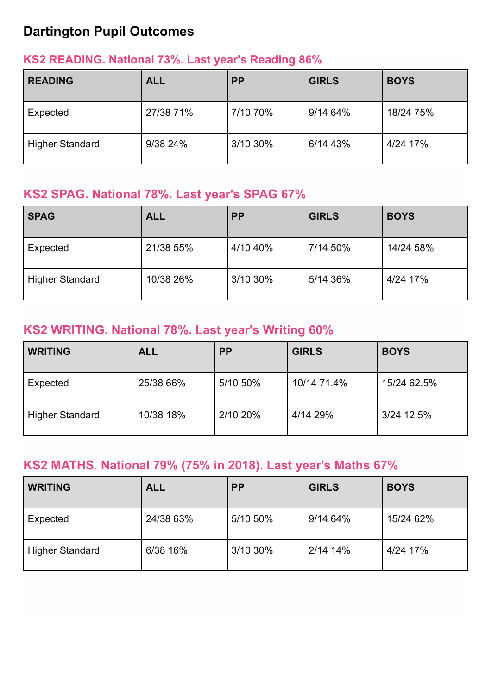# **Dartington Pupil Outcomes**

#### **KS2 READING. National 73%. Last year's Reading 86%**

| <b>READING</b>         | <b>ALL</b> | <b>PP</b> | <b>GIRLS</b> | <b>BOYS</b> |
|------------------------|------------|-----------|--------------|-------------|
| Expected               | 27/38 71%  | 7/10 70%  | 9/14 64%     | 18/24 75%   |
| <b>Higher Standard</b> | 9/38 24%   | 3/10 30%  | 6/14 43%     | 4/24 17%    |

#### **KS2 SPAG. National 78%. Last year's SPAG 67%**

| <b>SPAG</b>            | <b>ALL</b> | <b>PP</b> | <b>GIRLS</b> | <b>BOYS</b> |
|------------------------|------------|-----------|--------------|-------------|
| Expected               | 21/38 55%  | 4/10 40%  | 7/14 50%     | 14/24 58%   |
| <b>Higher Standard</b> | 10/38 26%  | 3/10 30%  | 5/14 36%     | 4/24 17%    |

#### **KS2 WRITING. National 78%. Last year's Writing 60%**

| <b>WRITING</b>         | <b>ALL</b> | <b>PP</b> | <b>GIRLS</b> | <b>BOYS</b> |
|------------------------|------------|-----------|--------------|-------------|
| Expected               | 25/38 66%  | 5/10 50%  | 10/14 71.4%  | 15/24 62.5% |
| <b>Higher Standard</b> | 10/38 18%  | 2/10 20%  | 4/14 29%     | 3/24 12.5%  |

### **KS2 MATHS. National 79% (75% in 2018). Last year's Maths 67%**

| <b>WRITING</b>         | <b>ALL</b> | <b>PP</b> | <b>GIRLS</b> | <b>BOYS</b> |
|------------------------|------------|-----------|--------------|-------------|
| Expected               | 24/38 63%  | 5/10 50%  | 9/14 64%     | 15/24 62%   |
| <b>Higher Standard</b> | 6/38 16%   | 3/10 30%  | 2/14 14%     | 4/24 17%    |